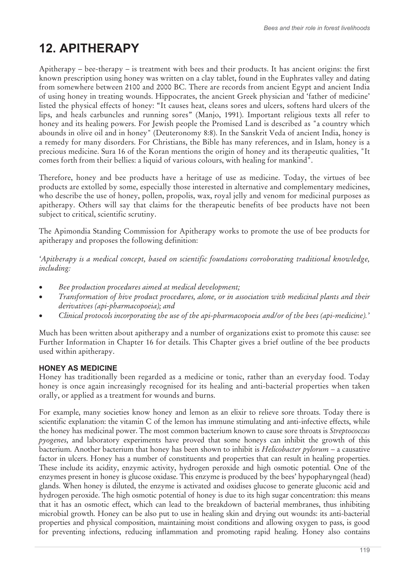# **12. APITHERAPY**

Apitherapy – bee-therapy – is treatment with bees and their products. It has ancient origins: the first known prescription using honey was written on a clay tablet, found in the Euphrates valley and dating from somewhere between 2100 and 2000 BC. There are records from ancient Egypt and ancient India of using honey in treating wounds. Hippocrates, the ancient Greek physician and 'father of medicine' listed the physical effects of honey: "It causes heat, cleans sores and ulcers, softens hard ulcers of the lips, and heals carbuncles and running sores" (Manjo, 1991). Important religious texts all refer to honey and its healing powers. For Jewish people the Promised Land is described as "a country which abounds in olive oil and in honey" (Deuteronomy 8:8). In the Sanskrit Veda of ancient India, honey is a remedy for many disorders. For Christians, the Bible has many references, and in Islam, honey is a precious medicine. Sura 16 of the Koran mentions the origin of honey and its therapeutic qualities, "It comes forth from their bellies: a liquid of various colours, with healing for mankind".

Therefore, honey and bee products have a heritage of use as medicine. Today, the virtues of bee products are extolled by some, especially those interested in alternative and complementary medicines, who describe the use of honey, pollen, propolis, wax, royal jelly and venom for medicinal purposes as apitherapy. Others will say that claims for the therapeutic benefits of bee products have not been subject to critical, scientific scrutiny.

The Apimondia Standing Commission for Apitherapy works to promote the use of bee products for apitherapy and proposes the following definition:

*'Apitherapy is a medical concept, based on scientific foundations corroborating traditional knowledge, including:* 

- -*Bee production procedures aimed at medical development;*
- $\bullet$  *Transformation of hive product procedures, alone, or in association with medicinal plants and their derivatives (api-pharmacopoeia); and*
- -*Clinical protocols incorporating the use of the api-pharmacopoeia and/or of the bees (api-medicine).'*

Much has been written about apitherapy and a number of organizations exist to promote this cause: see Further Information in Chapter 16 for details. This Chapter gives a brief outline of the bee products used within apitherapy.

### **HONEY AS MEDICINE**

Honey has traditionally been regarded as a medicine or tonic, rather than an everyday food. Today honey is once again increasingly recognised for its healing and anti-bacterial properties when taken orally, or applied as a treatment for wounds and burns.

For example, many societies know honey and lemon as an elixir to relieve sore throats. Today there is scientific explanation: the vitamin C of the lemon has immune stimulating and anti-infective effects, while the honey has medicinal power. The most common bacterium known to cause sore throats is *Streptococcus pyogenes*, and laboratory experiments have proved that some honeys can inhibit the growth of this bacterium. Another bacterium that honey has been shown to inhibit is *Helicobacter pylorum* – a causative factor in ulcers. Honey has a number of constituents and properties that can result in healing properties. These include its acidity, enzymic activity, hydrogen peroxide and high osmotic potential. One of the enzymes present in honey is glucose oxidase. This enzyme is produced by the bees' hypopharyngeal (head) glands. When honey is diluted, the enzyme is activated and oxidises glucose to generate gluconic acid and hydrogen peroxide. The high osmotic potential of honey is due to its high sugar concentration: this means that it has an osmotic effect, which can lead to the breakdown of bacterial membranes, thus inhibiting microbial growth. Honey can be also put to use in healing skin and drying out wounds: its anti-bacterial properties and physical composition, maintaining moist conditions and allowing oxygen to pass, is good for preventing infections, reducing inflammation and promoting rapid healing. Honey also contains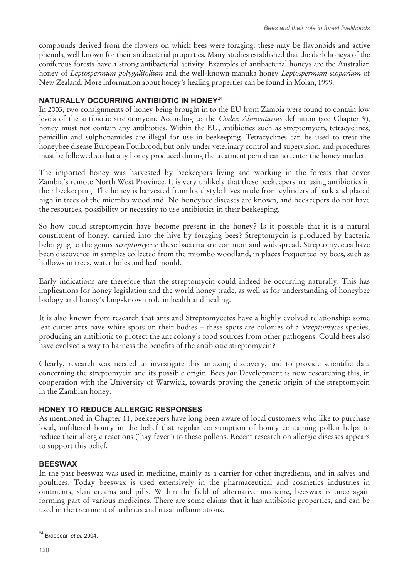compounds derived from the flowers on which bees were foraging: these may be flavonoids and active phenols, well known for their antibacterial properties. Many studies established that the dark honeys of the coniferous forests have a strong antibacterial activity. Examples of antibacterial honeys are the Australian honey of *Leptospermum polygalifolium* and the well-known manuka honey *Leptospermum scoparium* of New Zealand. More information about honey's healing properties can be found in Molan, 1999.

## **NATURALLY OCCURRING ANTIBIOTIC IN HONEY**<sup>24</sup>

In 2003, two consignments of honey being brought in to the EU from Zambia were found to contain low levels of the antibiotic streptomycin. According to the *Codex Alimentarius* definition (see Chapter 9), honey must not contain any antibiotics. Within the EU, antibiotics such as streptomycin, tetracyclines, penicillin and sulphonamides are illegal for use in beekeeping. Tetracyclines can be used to treat the honeybee disease European Foulbrood, but only under veterinary control and supervision, and procedures must be followed so that any honey produced during the treatment period cannot enter the honey market.

The imported honey was harvested by beekeepers living and working in the forests that cover Zambia's remote North West Province. It is very unlikely that these beekeepers are using antibiotics in their beekeeping. The honey is harvested from local style hives made from cylinders of bark and placed high in trees of the miombo woodland. No honeybee diseases are known, and beekeepers do not have the resources, possibility or necessity to use antibiotics in their beekeeping.

So how could streptomycin have become present in the honey? Is it possible that it is a natural constituent of honey, carried into the hive by foraging bees? Streptomycin is produced by bacteria belonging to the genus *Streptomyces:* these bacteria are common and widespread. Streptomycetes have been discovered in samples collected from the miombo woodland, in places frequented by bees, such as hollows in trees, water holes and leaf mould.

Early indications are therefore that the streptomycin could indeed be occurring naturally. This has implications for honey legislation and the world honey trade, as well as for understanding of honeybee biology and honey's long-known role in health and healing.

It is also known from research that ants and Streptomycetes have a highly evolved relationship: some leaf cutter ants have white spots on their bodies – these spots are colonies of a *Streptomyces* species, producing an antibiotic to protect the ant colony's food sources from other pathogens. Could bees also have evolved a way to harness the benefits of the antibiotic streptomycin?

Clearly, research was needed to investigate this amazing discovery, and to provide scientific data concerning the streptomycin and its possible origin. Bees *for* Development is now researching this, in cooperation with the University of Warwick, towards proving the genetic origin of the streptomycin in the Zambian honey.

## **HONEY TO REDUCE ALLERGIC RESPONSES**

As mentioned in Chapter 11, beekeepers have long been aware of local customers who like to purchase local, unfiltered honey in the belief that regular consumption of honey containing pollen helps to reduce their allergic reactions ('hay fever') to these pollens. Recent research on allergic diseases appears to support this belief.

### **BEESWAX**

In the past beeswax was used in medicine, mainly as a carrier for other ingredients, and in salves and poultices. Today beeswax is used extensively in the pharmaceutical and cosmetics industries in ointments, skin creams and pills. Within the field of alternative medicine, beeswax is once again forming part of various medicines. There are some claims that it has antibiotic properties, and can be used in the treatment of arthritis and nasal inflammations.

 $\overline{\phantom{a}}$ 24 Bradbear *et al,* 2004.